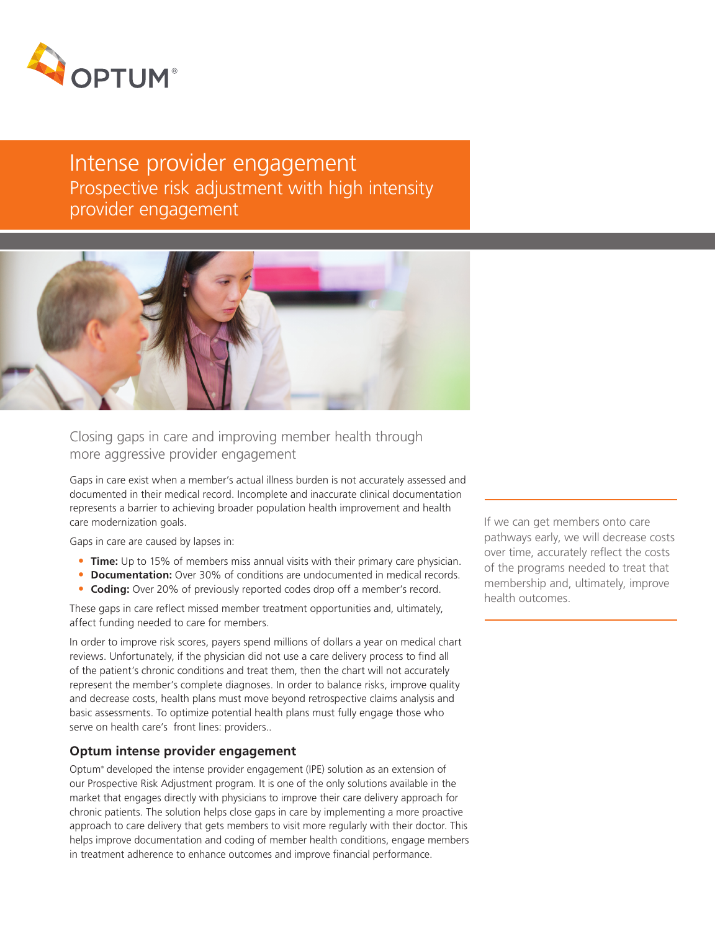

# Intense provider engagement Prospective risk adjustment with high intensity provider engagement



Closing gaps in care and improving member health through more aggressive provider engagement

Gaps in care exist when a member's actual illness burden is not accurately assessed and documented in their medical record. Incomplete and inaccurate clinical documentation represents a barrier to achieving broader population health improvement and health care modernization goals.

Gaps in care are caused by lapses in:

- **• Time:** Up to 15% of members miss annual visits with their primary care physician.
- **• Documentation:** Over 30% of conditions are undocumented in medical records.
- **• Coding:** Over 20% of previously reported codes drop off a member's record.

These gaps in care reflect missed member treatment opportunities and, ultimately, affect funding needed to care for members.

In order to improve risk scores, payers spend millions of dollars a year on medical chart reviews. Unfortunately, if the physician did not use a care delivery process to find all of the patient's chronic conditions and treat them, then the chart will not accurately represent the member's complete diagnoses. In order to balance risks, improve quality and decrease costs, health plans must move beyond retrospective claims analysis and basic assessments. To optimize potential health plans must fully engage those who serve on health care's front lines: providers..

# **Optum intense provider engagement**

Optum® developed the intense provider engagement (IPE) solution as an extension of our Prospective Risk Adjustment program. It is one of the only solutions available in the market that engages directly with physicians to improve their care delivery approach for chronic patients. The solution helps close gaps in care by implementing a more proactive approach to care delivery that gets members to visit more regularly with their doctor. This helps improve documentation and coding of member health conditions, engage members in treatment adherence to enhance outcomes and improve financial performance.

If we can get members onto care pathways early, we will decrease costs over time, accurately reflect the costs of the programs needed to treat that membership and, ultimately, improve health outcomes.